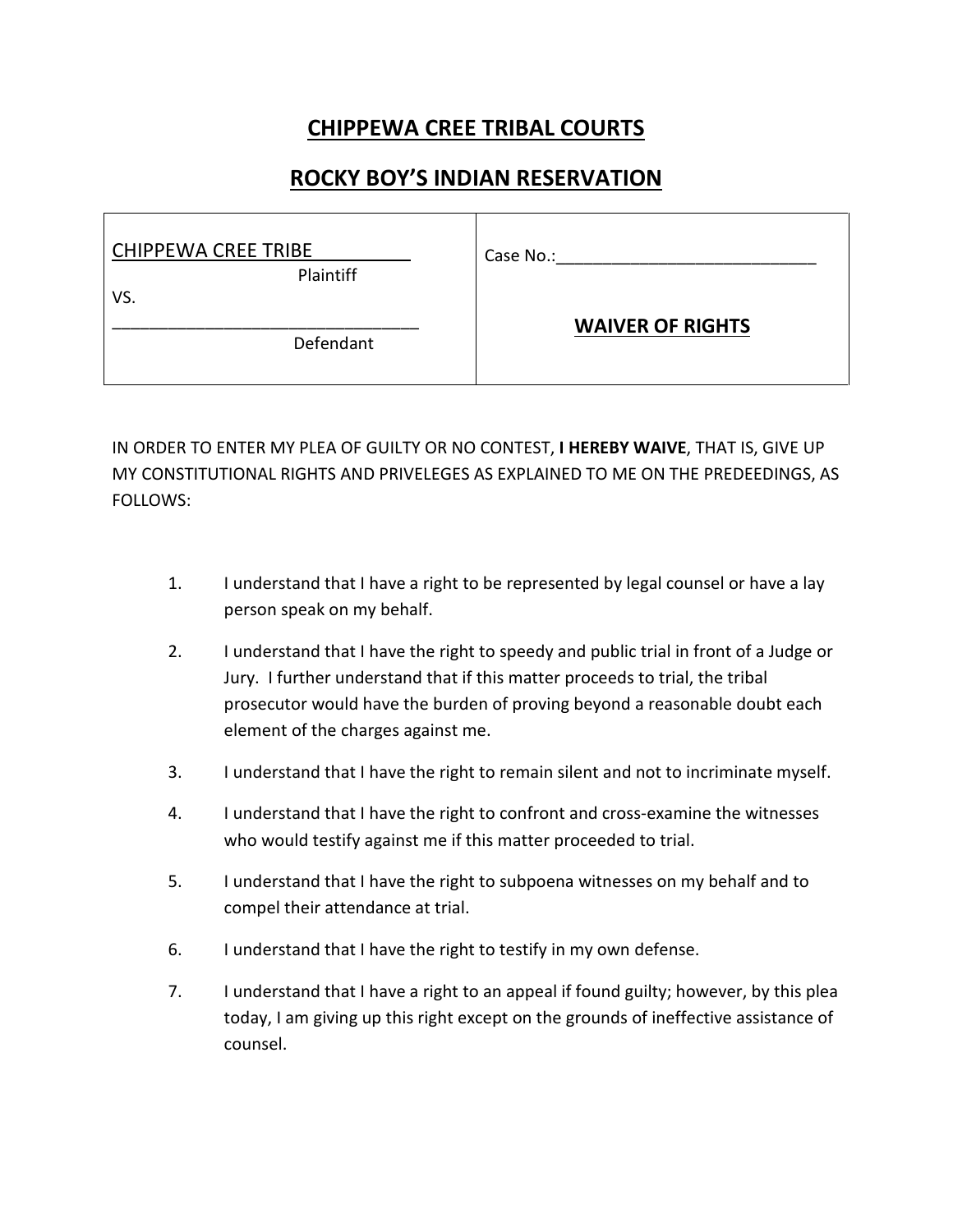## **CHIPPEWA CREE TRIBAL COURTS**

## **ROCKY BOY'S INDIAN RESERVATION**

| <b>CHIPPEWA CREE TRIBE</b> | Case No.:               |
|----------------------------|-------------------------|
| <b>Plaintiff</b>           |                         |
| VS.                        |                         |
| Defendant                  | <b>WAIVER OF RIGHTS</b> |

IN ORDER TO ENTER MY PLEA OF GUILTY OR NO CONTEST, **I HEREBY WAIVE**, THAT IS, GIVE UP MY CONSTITUTIONAL RIGHTS AND PRIVELEGES AS EXPLAINED TO ME ON THE PREDEEDINGS, AS FOLLOWS:

- 1. I understand that I have a right to be represented by legal counsel or have a lay person speak on my behalf.
- 2. I understand that I have the right to speedy and public trial in front of a Judge or Jury. I further understand that if this matter proceeds to trial, the tribal prosecutor would have the burden of proving beyond a reasonable doubt each element of the charges against me.
- 3. I understand that I have the right to remain silent and not to incriminate myself.
- 4. I understand that I have the right to confront and cross-examine the witnesses who would testify against me if this matter proceeded to trial.
- 5. I understand that I have the right to subpoena witnesses on my behalf and to compel their attendance at trial.
- 6. I understand that I have the right to testify in my own defense.
- 7. I understand that I have a right to an appeal if found guilty; however, by this plea today, I am giving up this right except on the grounds of ineffective assistance of counsel.